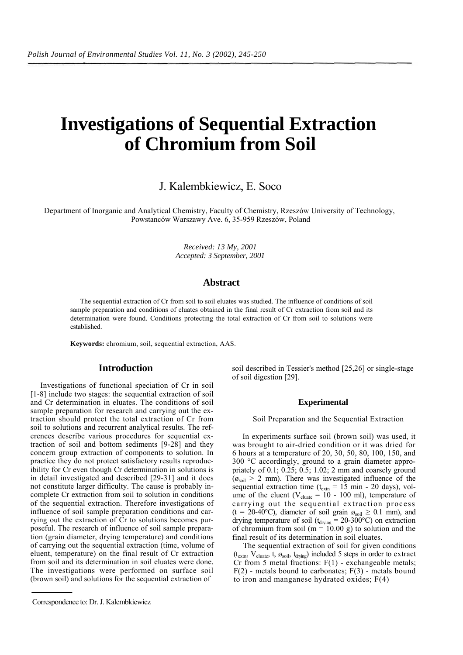# **Investigations of Sequential Extraction of Chromium from Soil**

J. Kalembkiewicz, E. Soco

Department of Inorganic and Analytical Chemistry, Faculty of Chemistry, Rzeszów University of Technology, Powstanców Warszawy Ave. 6, 35-959 Rzeszów, Poland

> *Received: 13 My, 2001 Accepted: 3 September, 2001*

# **Abstract**

The sequential extraction of Cr from soil to soil eluates was studied. The influence of conditions of soil sample preparation and conditions of eluates obtained in the final result of Cr extraction from soil and its determination were found. Conditions protecting the total extraction of Cr from soil to solutions were established.

**Keywords:** chromium, soil, sequential extraction, AAS.

# **Introduction**

Investigations of functional speciation of Cr in soil [1-8] include two stages: the sequential extraction of soil and Cr determination in eluates. The conditions of soil sample preparation for research and carrying out the extraction should protect the total extraction of Cr from soil to solutions and recurrent analytical results. The references describe various procedures for sequential extraction of soil and bottom sediments [9-28] and they concern group extraction of components to solution. In practice they do not protect satisfactory results reproducibility for Cr even though Cr determination in solutions is in detail investigated and described [29-31] and it does not constitute larger difficulty. The cause is probably incomplete Cr extraction from soil to solution in conditions of the sequential extraction. Therefore investigations of influence of soil sample preparation conditions and carrying out the extraction of Cr to solutions becomes purposeful. The research of influence of soil sample preparation (grain diameter, drying temperature) and conditions of carrying out the sequential extraction (time, volume of eluent, temperature) on the final result of Cr extraction from soil and its determination in soil eluates were done. The investigations were performed on surface soil (brown soil) and solutions for the sequential extraction of

soil described in Tessier's method [25,26] or single-stage of soil digestion [29].

#### **Experimental**

Soil Preparation and the Sequential Extraction

In experiments surface soil (brown soil) was used, it was brought to air-dried condition or it was dried for 6 hours at a temperature of 20, 30, 50, 80, 100, 150, and 300 °C accordingly, ground to a grain diameter appropriately of 0.1; 0.25; 0.5; 1.02; 2 mm and coarsely ground  $(\mathfrak{g}_{\text{sol}} > 2 \text{ mm})$ . There was investigated influence of the sequential extraction time  $(t_{\text{extn}} = 15 \text{ min} - 20 \text{ days})$ , volume of the eluent ( $V_{\text{cluster}} = 10 - 100$  ml), temperature of carrying out the sequential extraction process (t = 20-40°C), diameter of soil grain  $\mathfrak{g}_{\text{sol}} \geq 0.1$  mm), and drying temperature of soil ( $t_{\text{drving}} = 20{\text -}300^{\circ}\text{C}$ ) on extraction of chromium from soil ( $m = 10.00$  g) to solution and the final result of its determination in soil eluates.

The sequential extraction of soil for given conditions  $(t_{extn}, V_{cluster}, t, \omega_{soil}, t_{drving})$  included 5 steps in order to extract Cr from 5 metal fractions:  $F(1)$  - exchangeable metals;  $F(2)$  - metals bound to carbonates;  $F(3)$  - metals bound to iron and manganese hydrated oxides; F(4)

Correspondence to: Dr. J. Kalembkiewicz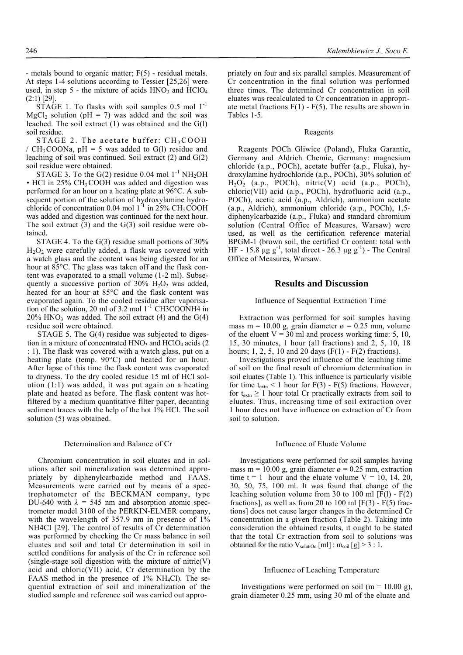- metals bound to organic matter; F(5) - residual metals. At steps 1-4 solutions according to Tessier [25,26] were used, in step 5 - the mixture of acids  $HNO_3$  and  $HClO_4$ (2:1) [29].

STAGE 1. To flasks with soil samples  $0.5 \text{ mol } 1^{-1}$  $MgCl<sub>2</sub>$  solution (pH = 7) was added and the soil was leached. The soil extract (1) was obtained and the G(l) soil residue.

STAGE 2. The acetate buffer:  $CH<sub>3</sub>COOH$ /  $CH<sub>3</sub>COONa$ , pH = 5 was added to G(1) residue and leaching of soil was continued. Soil extract (2) and G(2) soil residue were obtained.

STAGE 3. To the G(2) residue  $0.04$  mol  $1^{-1}$  NH<sub>2</sub>OH  $\cdot$  HCl in 25% CH<sub>3</sub>COOH was added and digestion was performed for an hour on a heating plate at 96°C. A subsequent portion of the solution of hydroxylamine hydrochloride of concentration 0.04 mol  $1^{-1}$  in 25% CH<sub>3</sub>COOH was added and digestion was continued for the next hour. The soil extract  $(3)$  and the  $G(3)$  soil residue were obtained.

STAGE 4. To the G(3) residue small portions of 30%  $H_2O_2$  were carefully added, a flask was covered with a watch glass and the content was being digested for an hour at 85°C. The glass was taken off and the flask content was evaporated to a small volume (1-2 ml). Subsequently a successive portion of  $30\%$  H<sub>2</sub>O<sub>2</sub> was added, heated for an hour at 85°C and the flask content was evaporated again. To the cooled residue after vaporisation of the solution, 20 ml of 3.2 mol 1<sup>-1</sup> CH3COONH4 in  $20\%$  HNO<sub>3</sub> was added. The soil extract (4) and the G(4) residue soil were obtained.

STAGE 5. The G(4) residue was subjected to digestion in a mixture of concentrated  $HNO<sub>3</sub>$  and  $HClO<sub>4</sub>$  acids (2) : 1). The flask was covered with a watch glass, put on a heating plate (temp. 90°C) and heated for an hour. After lapse of this time the flask content was evaporated to dryness. To the dry cooled residue 15 ml of HCl solution (1:1) was added, it was put again on a heating plate and heated as before. The flask content was hotfiltered by a medium quantitative filter paper, decanting sediment traces with the help of the hot 1% HCl. The soil solution (5) was obtained.

#### Determination and Balance of Cr

Chromium concentration in soil eluates and in solutions after soil mineralization was determined appropriately by diphenylcarbazide method and FAAS. Measurements were carried out by means of a spectrophotometer of the BECKMAN company, type DU-640 with  $\lambda = 545$  nm and absorption atomic spectrometer model 3100 of the PERKIN-ELMER company, with the wavelength of 357.9 nm in presence of 1% NH4CI [29]. The control of results of Cr determination was performed by checking the Cr mass balance in soil eluates and soil and total Cr determination in soil in settled conditions for analysis of the Cr in reference soil  $(single-stage soil digestion with the mixture of nitric(V)$ acid and chloric(VII) acid, Cr determination by the FAAS method in the presence of  $1\%$  NH<sub>4</sub>Cl). The sequential extraction of soil and mineralization of the studied sample and reference soil was carried out appro-

priately on four and six parallel samples. Measurement of Cr concentration in the final solution was performed three times. The determined Cr concentration in soil eluates was recalculated to Cr concentration in appropriate metal fractions  $F(1)$  -  $F(5)$ . The results are shown in Tables 1-5.

#### Reagents

Reagents POCh Gliwice (Poland), Fluka Garantie, Germany and Aldrich Chemie, Germany: magnesium chloride (a.p., POCh), acetate buffer (a.p., Fluka), hydroxylamine hydrochloride (a.p., POCh), 30% solution of  $H<sub>2</sub>O<sub>2</sub>$  (a.p., POCh), nitric(V) acid (a.p., POCh), chloric(VII) acid (a.p., POCh), hydrofluoric acid (a.p., POCh), acetic acid (a.p., Aldrich), ammonium acetate (a.p., Aldrich), ammonium chloride (a.p., POCh), 1,5 diphenylcarbazide (a.p., Fluka) and standard chromium solution (Central Office of Measures, Warsaw) were used, as well as the certification reference material BPGM-1 (brown soil, the certified Cr content: total with HF - 15.8  $\mu$ g g<sup>-1</sup>, total direct - 26.3  $\mu$ g g<sup>-1</sup>) - The Central Office of Measures, Warsaw.

## **Results and Discussion**

#### Influence of Sequential Extraction Time

Extraction was performed for soil samples having mass m = 10.00 g, grain diameter  $\alpha$  = 0.25 mm, volume of the eluent  $V = 30$  ml and process working time: 5, 10, 15, 30 minutes, 1 hour (all fractions) and 2, 5, 10, 18 hours; 1, 2, 5, 10 and 20 days ( $F(1)$  -  $F(2)$  fractions).

Investigations proved influence of the leaching time of soil on the final result of chromium determination in soil eluates (Table 1). This influence is particularly visible for time  $t_{\text{extn}}$  < 1 hour for F(3) - F(5) fractions. However, for  $t_{\text{extn}} \geq 1$  hour total Cr practically extracts from soil to eluates. Thus, increasing time of soil extraction over 1 hour does not have influence on extraction of Cr from soil to solution.

#### Influence of Eluate Volume

Investigations were performed for soil samples having mass m = 10.00 g, grain diameter  $\varphi$  = 0.25 mm, extraction time t = 1 hour and the eluate volume  $V = 10, 14, 20,$ 30, 50, 75, 100 ml. It was found that change of the leaching solution volume from 30 to 100 ml  $[F(1) - F(2)]$ fractionsl, as well as from 20 to 100 ml  $[F(3) - F(5)$  fractions] does not cause larger changes in the determined Cr concentration in a given fraction (Table 2). Taking into consideration the obtained results, it ought to be stated that the total Cr extraction from soil to solutions was obtained for the ratio  $V_{solution}[m] : m_{soil}[g] > 3 : 1$ .

#### Influence of Leaching Temperature

Investigations were performed on soil (m =  $10.00$  g), grain diameter 0.25 mm, using 30 ml of the eluate and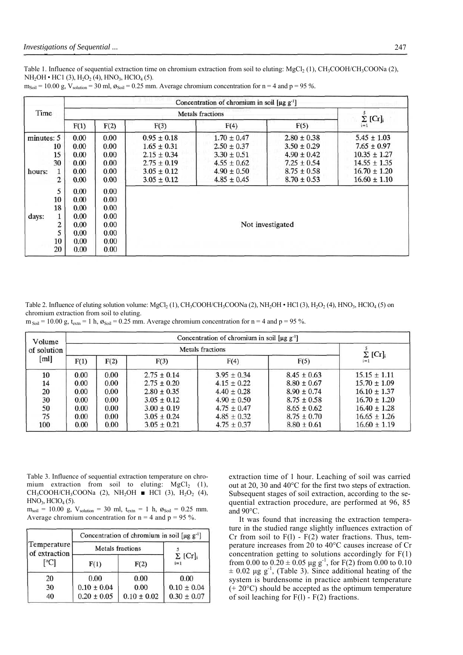Table 1. Influence of sequential extraction time on chromium extraction from soil to eluting: MgCl<sub>2</sub> (1), CH<sub>3</sub>COOH/CH<sub>3</sub>COONa (2),  $NH<sub>2</sub>OH • HCl (3), H<sub>2</sub>O<sub>2</sub> (4), HNO<sub>3</sub>, HClO<sub>4</sub> (5).$ 

|            |    | Concentration of chromium in soil $[\mu g g^{-1}]$ |      |                         |                                 |                 |                  |  |  |  |
|------------|----|----------------------------------------------------|------|-------------------------|---------------------------------|-----------------|------------------|--|--|--|
| Time       |    |                                                    |      | <b>Metals</b> fractions | 5<br>$\Sigma$ [Cr] <sub>i</sub> |                 |                  |  |  |  |
|            |    | F(1)                                               | F(2) | F(3)                    | F(4)                            | F(5)            | $i=1$            |  |  |  |
| minutes: 5 |    | 0.00                                               | 0.00 | $0.95 \pm 0.18$         | $1.70 \pm 0.47$                 | $2.80 \pm 0.38$ | $5.45 \pm 1.03$  |  |  |  |
|            | 10 | 0.00                                               | 0.00 | $1.65 \pm 0.31$         | $2.50 \pm 0.37$                 | $3.50 \pm 0.29$ | $7.65 \pm 0.97$  |  |  |  |
|            | 15 | 0.00                                               | 0.00 | $2.15 \pm 0.34$         | $3.30 \pm 0.51$                 | $4.90 \pm 0.42$ | $10.35 \pm 1.27$ |  |  |  |
| 30         |    | 0.00                                               | 0.00 | $2.75 \pm 0.19$         | $4.55 \pm 0.62$                 | $7.25 \pm 0.54$ | $14.55 \pm 1.35$ |  |  |  |
| hours:     | 1  | 0.00                                               | 0.00 | $3.05 \pm 0.12$         | $4.90 \pm 0.50$                 | $8.75 \pm 0.58$ | $16.70 \pm 1.20$ |  |  |  |
|            | 2  | 0.00                                               | 0.00 | $3.05 \pm 0.12$         | $4.85 \pm 0.45$                 | $8.70 \pm 0.53$ | $16.60 \pm 1.10$ |  |  |  |
|            | 5  | 0.00                                               | 0.00 |                         |                                 |                 |                  |  |  |  |
|            | 10 | 0.00                                               | 0.00 |                         |                                 |                 |                  |  |  |  |
|            | 18 | 0.00                                               | 0.00 |                         |                                 |                 |                  |  |  |  |
| days:      |    | 0.00                                               | 0.00 |                         |                                 |                 |                  |  |  |  |
|            | 2  | 0.00                                               | 0.00 | Not investigated        |                                 |                 |                  |  |  |  |
|            | 5  | 0.00                                               | 0.00 |                         |                                 |                 |                  |  |  |  |
|            | 10 | 0.00                                               | 0.00 |                         |                                 |                 |                  |  |  |  |
|            | 20 | 0.00                                               | 0.00 |                         |                                 |                 |                  |  |  |  |

 $m_{\text{Soil}} = 10.00 \text{ g}, V_{\text{solution}} = 30 \text{ ml}, \mathcal{B}_{\text{Soil}} = 0.25 \text{ mm}.$  Average chromium concentration for  $n = 4$  and  $p = 95 \%$ .

Table 2. Influence of eluting solution volume:  $MgCl_2(1)$ , CH<sub>3</sub>COOH/CH<sub>3</sub>COONa (2), NH<sub>2</sub>OH • HCl (3), H<sub>2</sub>O<sub>2</sub> (4), HNO<sub>3</sub>, HClO<sub>4</sub> (5) on chromium extraction from soil to eluting.

 $m_{\text{Soil}} = 10.00 \text{ g}, t_{\text{extn}} = 1 \text{ h}, \mathcal{B}_{\text{Soil}} = 0.25 \text{ mm}.$  Average chromium concentration for  $n = 4$  and  $p = 95 \%$ .

| Volume      | Concentration of chromium in soil $[\mu g g^{-1}]$ |      |                 |                 |                 |                                       |  |  |
|-------------|----------------------------------------------------|------|-----------------|-----------------|-----------------|---------------------------------------|--|--|
| of solution |                                                    |      |                 |                 |                 |                                       |  |  |
| [ml]        | F(2)<br>F(1)                                       |      | F(3)            | F(4)            | F(5)            | $\Sigma$ [Cr] <sub>i</sub><br>$i = 1$ |  |  |
| 10          | 0.00                                               | 0.00 | $2.75 \pm 0.14$ | $3.95 \pm 0.34$ | $8.45 \pm 0.63$ | $15.15 \pm 1.11$                      |  |  |
| 14          | 0.00                                               | 0.00 | $2.75 \pm 0.20$ | $4.15 \pm 0.22$ | $8.80 \pm 0.67$ | $15.70 \pm 1.09$                      |  |  |
| 20          | 0.00                                               | 0.00 | $2.80 \pm 0.35$ | $4.40 \pm 0.28$ | $8.90 \pm 0.74$ | $16.10 \pm 1.37$                      |  |  |
| 30          | 0.00                                               | 0.00 | $3.05 \pm 0.12$ | $4.90 \pm 0.50$ | $8.75 \pm 0.58$ | $16.70 \pm 1.20$                      |  |  |
| 50          | 0.00                                               | 0.00 | $3.00 \pm 0.19$ | $4.75 \pm 0.47$ | $8.65 \pm 0.62$ | $16.40 \pm 1.28$                      |  |  |
| 75          | 0.00                                               | 0.00 | $3.05 \pm 0.24$ | $4.85 \pm 0.32$ | $8.75 \pm 0.70$ | $16.65 \pm 1.26$                      |  |  |
| 100         | 0.00                                               | 0.00 | $3.05 \pm 0.21$ | $4.75 \pm 0.37$ | $8.80 \pm 0.61$ | $16.60 \pm 1.19$                      |  |  |

Table 3. Influence of sequential extraction temperature on chromium extraction from soil to eluting:  $MgCl<sub>2</sub>$  (1),  $CH_3COOH/CH_3COONa$  (2), NH<sub>2</sub>OH ■ HCl (3), H<sub>2</sub>O<sub>2</sub> (4),  $HNO<sub>3</sub>, HClO<sub>4</sub>(5).$ 

 $m_{soil}$  = 10.00 g,  $V_{solution}$  = 30 ml,  $t_{extn}$  = 1 h,  $\mathcal{O}_{Soil}$  = 0.25 mm. Average chromium concentration for  $n = 4$  and  $p = 95$ %.

|                              | Concentration of chromium in soil $[\mu g g^{-1}]$ |                 |                        |  |  |  |
|------------------------------|----------------------------------------------------|-----------------|------------------------|--|--|--|
| Temperature<br>of extraction | <b>Metals</b> fractions                            |                 |                        |  |  |  |
| [°C]                         | F(1)                                               | F(2)            | $\Sigma$ [Cr]<br>$i=1$ |  |  |  |
| 20                           | 0.00                                               | 0.00            | 0.00                   |  |  |  |
| 30                           | $0.10 \pm 0.04$                                    | 0.00            | $0.10 \pm 0.04$        |  |  |  |
| 40                           | $0.20 \pm 0.05$                                    | $0.10 \pm 0.02$ | $0.30 \pm 0.07$        |  |  |  |

extraction time of 1 hour. Leaching of soil was carried out at 20, 30 and 40°C for the first two steps of extraction. Subsequent stages of soil extraction, according to the sequential extraction procedure, are performed at 96, 85 and 90°C.

It was found that increasing the extraction temperature in the studied range slightly influences extraction of Cr from soil to  $F(1)$  -  $F(2)$  water fractions. Thus, temperature increases from 20 to 40°C causes increase of Cr concentration getting to solutions accordingly for  $F(1)$ from 0.00 to  $0.20 \pm 0.05$  µg g<sup>-1</sup>, for F(2) from 0.00 to 0.10  $\pm$  0.02 µg g<sup>-1</sup>, (Table 3). Since additional heating of the system is burdensome in practice ambient temperature (+ 20°C) should be accepted as the optimum temperature of soil leaching for F(l) - F(2) fractions.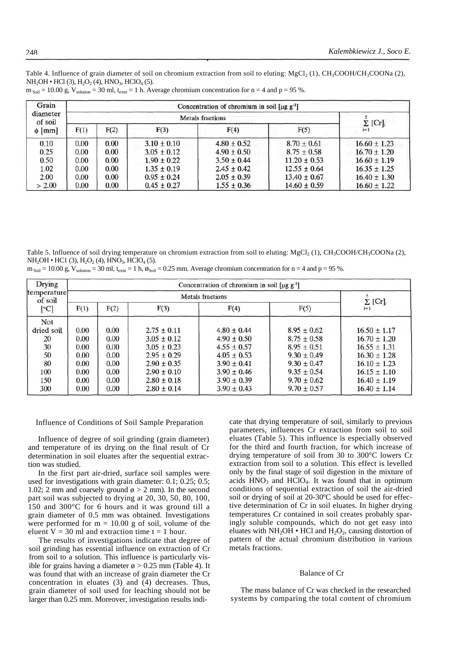Table 4. Influence of grain diameter of soil on chromium extraction from soil to eluting: MgCl<sub>2</sub> (1), CH<sub>3</sub>COOH/CH<sub>3</sub>COONa (2),  $NH<sub>2</sub>OH • HCl (3), H<sub>2</sub>O<sub>2</sub> (4), HNO<sub>3</sub>, HClO<sub>4</sub> (5).$ 

| Grain<br>diameter<br>of soil<br>$\phi$ [mm] | Concentration of chromium in soil $[\mu g g^{-1}]$ |               |                 |                 |                  |                  |  |  |
|---------------------------------------------|----------------------------------------------------|---------------|-----------------|-----------------|------------------|------------------|--|--|
|                                             |                                                    | $\Sigma$ [Cr] |                 |                 |                  |                  |  |  |
|                                             | F(1)                                               | F(2)          | F(3)            | F(4)            | F(5)             | $i=1$            |  |  |
| 0.10                                        | 0.00                                               | 0.00          | $3.10 \pm 0.10$ | $4.80 \pm 0.52$ | $8.70 \pm 0.61$  | $16.60 \pm 1.23$ |  |  |
| 0.25                                        | 0.00                                               | 0.00          | $3.05 \pm 0.12$ | $4.90 \pm 0.50$ | $8.75 \pm 0.58$  | $16.70 \pm 1.20$ |  |  |
| 0.50                                        | 0.00                                               | 0.00          | $1.90 \pm 0.22$ | $3.50 \pm 0.44$ | $11.20 \pm 0.53$ | $16.60 \pm 1.19$ |  |  |
| 1.02                                        | 0.00                                               | 0.00          | $1.35 \pm 0.19$ | $2.45 \pm 0.42$ | $12.55 \pm 0.64$ | $16.35 \pm 1.25$ |  |  |
| 2.00                                        | 0.00                                               | 0.00          | $0.95 \pm 0.24$ | $2.05 \pm 0.39$ | $13.40 \pm 0.67$ | $16.40 \pm 1.30$ |  |  |
| > 2.00                                      | 0.00                                               | 0.00          | $0.45 \pm 0.27$ | $1.55 \pm 0.36$ | $14.60 \pm 0.59$ | $16.60 \pm 1.22$ |  |  |

 $m_{\text{Soil}} = 10.00$  g,  $V_{\text{solution}} = 30$  ml,  $t_{\text{exp}} = 1$  h. Average chromium concentration for  $n = 4$  and  $p = 95$  %.

Table 5. Influence of soil drying temperature on chromium extraction from soil to eluting: MgCl<sub>2</sub> (1), CH<sub>3</sub>COOH/CH<sub>3</sub>COONa (2),  $NH<sub>2</sub>OH • HCl (3), H<sub>2</sub>O<sub>2</sub> (4), HNO<sub>3</sub>, HClO<sub>4</sub> (5).$ 

|  |  |  |  |  |  | $m_{\text{Soil}} = 10.00$ g, $V_{\text{solution}} = 30$ ml, $t_{\text{extn}} = 1$ h, $\phi_{\text{Soil}} = 0.25$ mm. Average chromium concentration for $n = 4$ and $p = 95$ %. |  |  |  |  |
|--|--|--|--|--|--|---------------------------------------------------------------------------------------------------------------------------------------------------------------------------------|--|--|--|--|
|--|--|--|--|--|--|---------------------------------------------------------------------------------------------------------------------------------------------------------------------------------|--|--|--|--|

| Drying                 | Concentration of chromium in soil $[\mu g g^{-1}]$ |                            |                 |                 |                 |                  |  |  |  |
|------------------------|----------------------------------------------------|----------------------------|-----------------|-----------------|-----------------|------------------|--|--|--|
| temperature<br>of soil |                                                    | $\Sigma$ [Cr] <sub>i</sub> |                 |                 |                 |                  |  |  |  |
| [°C]                   | F(1)                                               | F(2)                       | F(3)            | F(4)            | F(5)            | $i=1$            |  |  |  |
| Not                    |                                                    |                            |                 |                 |                 |                  |  |  |  |
| dried soil             | 0.00                                               | 0.00                       | $2.75 \pm 0.11$ | $4.80 \pm 0.44$ | $8.95 \pm 0.62$ | $16.50 \pm 1.17$ |  |  |  |
| 20                     | 0.00                                               | 0.00                       | $3.05 \pm 0.12$ | $4.90 \pm 0.50$ | $8.75 + 0.58$   | $16.70 \pm 1.20$ |  |  |  |
| 30                     | 0.00                                               | 0.00                       | $3.05 + 0.23$   | $4.55 + 0.57$   | $8.95 \pm 0.51$ | $16.55 \pm 1.31$ |  |  |  |
| 50                     | 0.00                                               | 0.00                       | $2.95 \pm 0.29$ | $4.05 \pm 0.53$ | $9.30 \pm 0.49$ | $16.30 \pm 1.28$ |  |  |  |
| 80                     | 0.00                                               | 0.00                       | $2.90 \pm 0.35$ | $3.90 \pm 0.41$ | $9.30 \pm 0.47$ | $16.10 \pm 1.23$ |  |  |  |
| 100                    | 0.00                                               | 0.00                       | $2.90 \pm 0.10$ | $3.90 \pm 0.46$ | $9.35 \pm 0.54$ | $16.15 \pm 1.10$ |  |  |  |
| 150                    | 0.00                                               | 0.00                       | $2.80 \pm 0.18$ | $3.90 \pm 0.39$ | $9.70 \pm 0.62$ | $16.40 \pm 1.19$ |  |  |  |
| 300                    | 0.00                                               | 0.00                       | $2.80 \pm 0.14$ | $3.90 \pm 0.43$ | $9.70 \pm 0.57$ | $16.40 \pm 1.14$ |  |  |  |

#### Influence of Conditions of Soil Sample Preparation

Influence of degree of soil grinding (grain diameter) and temperature of its drying on the final result of Cr determination in soil eluates after the sequential extraction was studied.

In the first part air-dried, surface soil samples were used for investigations with grain diameter: 0.1; 0.25; 0.5; 1.02; 2 mm and coarsely ground  $\phi > 2$  mm). In the second part soil was subjected to drying at 20, 30, 50, 80, 100, 150 and 300°C for 6 hours and it was ground till a grain diameter of 0.5 mm was obtained. Investigations were performed for  $m = 10.00$  g of soil, volume of the eluent  $V = 30$  ml and extraction time  $t = 1$  hour.

The results of investigations indicate that degree of soil grinding has essential influence on extraction of Cr from soil to a solution. This influence is particularly visible for grains having a diameter  $\phi > 0.25$  mm (Table 4). It was found that with an increase of grain diameter the Cr concentration in eluates (3) and (4) decreases. Thus, grain diameter of soil used for leaching should not be larger than 0.25 mm. Moreover, investigation results indicate that drying temperature of soil, similarly to previous parameters, influences Cr extraction from soil to soil eluates (Table 5). This influence is especially observed for the third and fourth fraction, for which increase of drying temperature of soil from 30 to 300°C lowers Cr extraction from soil to a solution. This effect is levelled only by the final stage of soil digestion in the mixture of acids  $HNO<sub>3</sub>$  and  $HClO<sub>4</sub>$ . It was found that in optimum conditions of sequential extraction of soil the air-dried soil or drying of soil at 20-30ºC should be used for effective determination of Cr in soil eluates. In higher drying temperatures Cr contained in soil creates probably sparingly soluble compounds, which do not get easy into eluates with NH<sub>2</sub>OH • HCl and H<sub>2</sub>O<sub>2</sub>, causing distortion of pattern of the actual chromium distribution in various metals fractions.

#### Balance of Cr

The mass balance of Cr was checked in the researched systems by comparing the total content of chromium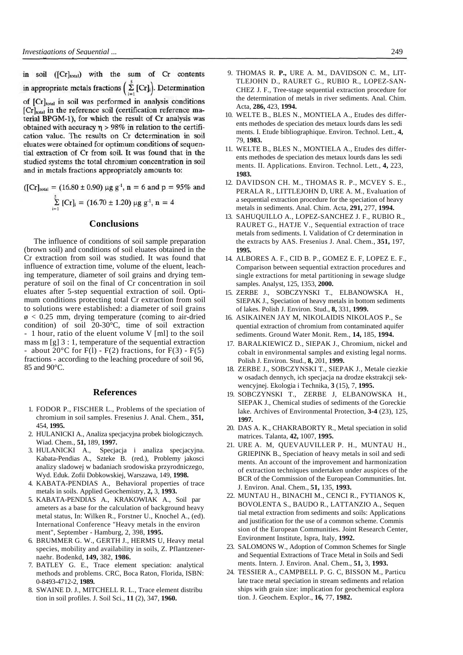in soil ([Cr]total) with the sum of Cr contents in appropriate metals fractions  $\left(\sum_{i=1}^{5} [Cr]_i\right)$ . Determination of [Cr]<sub>total</sub> in soil was performed in analysis conditions [Cr]<sub>total</sub> in the reference soil (certification reference material BPGM-1), for which the result of Cr analysis was obtained with accuracy  $\eta > 98\%$  in relation to the certification value. The results on Cr determination in soil eluates were obtained for optimum conditions of sequential extraction of Cr from soil. It was found that in the studied systems the total chromium concentration in soil and in metals fractions appropriately amounts to:

$$
([\text{Cr}]_{\text{total}} = (16.80 \pm 0.90) \text{ µg g}^{-1}, \text{ n = 6 and p = 95\% and}
$$

$$
\sum_{i=1}^{5} [\text{Cr}]_i = (16.70 \pm 1.20) \text{ µg g}^{-1}, \text{ n = 4}
$$

## **Conclusions**

The influence of conditions of soil sample preparation (brown soil) and conditions of soil eluates obtained in the Cr extraction from soil was studied. It was found that influence of extraction time, volume of the eluent, leaching temperature, diameter of soil grains and drying temperature of soil on the final of Cr concentration in soil eluates after 5-step sequential extraction of soil. Optimum conditions protecting total Cr extraction from soil to solutions were established: a diameter of soil grains  $\phi$  < 0.25 mm, drying temperature (coming to air-dried condition) of soil 20-30°C, time of soil extraction - 1 hour, ratio of the eluent volume V [ml] to the soil mass m [g] 3 : 1, temperature of the sequential extraction - about 20 $\degree$ C for F(1) - F(2) fractions, for F(3) - F(5) fractions - according to the leaching procedure of soil 96, 85 and 90°C.

### **References**

- 1. FODOR P., FISCHER L., Problems of the speciation of chromium in soil samples. Fresenius J. Anal. Chem., **351,**  454, **1995.**
- 2. HULANICKI A., Analiza specjacyjna probek biologicznych. Wiad. Chem., **51,** 189, **1997.**
- 3. HULANICKI A., Specjacja i analiza specjacyjna. Kabata-Pendias A., Szteke B. (red.), Problemy jakosci analizy sladowej w badaniach srodowiska przyrodniczego, Wyd. Eduk. Zofii Dobkowskiej, Warszawa, 149, **1998.**
- 4. KABATA-PENDIAS A., Behavioral properties of trace metals in soils. Applied Geochemistry, **2,** 3, **1993.**
- 5. KABATA-PENDIAS A., KRAKOWIAK A., Soil par ameters as a base for the calculation of background heavy metal status, In: Wilken R., Forstner U., Knochel A., (ed). International Conference "Heavy metals in the environ ment", September - Hamburg, 2, 398, **1995.**
- 6. BRUMMER G. W., GERTH J., HERMS U, Heavy metal species, mobility and availability in soils, Z. Pflantzenernaehr. Bodenkd, **149,** 382, **1986.**
- 7. BATLEY G. E., Trace element speciation: analytical methods and problems. CRC, Boca Raton, Florida, ISBN: 0-8493-4712-2, **1989.**
- 8. SWAINE D. J., MITCHELL R. L., Trace element distribu tion in soil profiles. J. Soil Sci., **11** (2), 347, **1960.**
- 9. THOMAS R. **P.,** URE A. M., DAVIDSON C. M., LIT-TLEJOHN D., RAURET G., RUBIO R., LOPEZ-SAN-CHEZ J. F., Tree-stage sequential extraction procedure for the determination of metals in river sediments. Anal. Chim. Acta, **286,** 423, **1994.**
- 10. WELTE B., BLES N., MONTIELA A., Etudes des differents methodes de speciation des metaux lourds dans les sedi ments. I. Etude bibliographique. Environ. Technol. Lett., **4,**  79, **1983.**
- 11. WELTE B., BLES N., MONTIELA A., Etudes des differents methodes de speciation des metaux lourds dans les sedi ments. II. Applications. Environ. Technol. Lett., **4,** 223, **1983.**
- 12. DAVIDSON CH. M., THOMAS R. P., MCVEY S. E., PERALA R., LITTLEJOHN D, URE A. M., Evaluation of a sequential extraction procedure for the speciation of heavy metals in sediments. Anal. Chim. Acta, **291,** 277, **1994.**
- 13. SAHUQUILLO A., LOPEZ-SANCHEZ J. F., RUBIO R., RAURET G., HATJE V., Sequential extraction of trace metals from sediments. I. Validation of Cr determination in the extracts by AAS. Fresenius J. Anal. Chem., **351,** 197, **1995.**
- 14. ALBORES A. F., CID B. P., GOMEZ E. F, LOPEZ E. F., Comparison between sequential extraction procedures and single extractions for metal partitioning in sewage sludge samples. Analyst, 125, 1353, **2000.**
- 15. ZERBE J., SOBCZYNSKI T., ELBANOWSKA H., SIEPAK J., Speciation of heavy metals in bottom sediments of lakes. Polish J. Environ. Stud., **8,** 331, **1999.**
- 16. ASIKAINEN JAY M, NIKOLAIDIS NIKOLAOS P., Se quential extraction of chromium from contaminated aquifer sediments. Ground Water Monit. Rem., **14,** 185, **1994.**
- 17. BARALKIEWICZ D., SIEPAK J., Chromium, nickel and cobalt in environmental samples and existing legal norms. Polish J. Environ. Stud., **8,** 201, **1999.**
- 18. ZERBE J., SOBCZYNSKI T., SIEPAK J., Metale ciezkie w osadach dennych, ich specjacja na drodze ekstrakcji sekwencyjnej. Ekologia i Technika, **3** (15), 7, **1995.**
- 19. SOBCZYNSKI T., ZERBE J, ELBANOWSKA H., SIEPAK J., Chemical studies of sediments of the Goreckie lake. Archives of Environmental Protection, **3-4** (23), 125, **1997.**
- 20. DAS A. K., CHAKRABORTY R., Metal speciation in solid matrices. Talanta, **42,** 1007, **1995.**
- 21. URE A. M, QUEVAUVILLER P. H., MUNTAU H., GRIEPINK B., Speciation of heavy metals in soil and sedi ments. An account of the improvement and harmonization of extraction techniques undertaken under auspices of the BCR of the Commission of the European Communities. Int. J. Environ. Anal. Chem., **51,** 135, **1993.**
- 22. MUNTAU H., BINACHI M., CENCI R., FYTIANOS K, BOVOLENTA S., BAUDO R., LATTANZIO A., Sequen tial metal extraction from sediments and soils: Applications and justification for the use of a common scheme. Commis sion of the European Communities. Joint Research Center, Environment Institute, Ispra, Italy, **1992.**
- 23. SALOMONS W., Adoption of Common Schemes for Single and Sequential Extractions of Trace Metal in Soils and Sedi ments. Intern. J. Environ. Anal. Chem., **51,** 3, **1993.**
- 24. TESSIER A., CAMPBELL P. G. C, BISSON M., Particu late trace metal speciation in stream sediments and relation ships with grain size: implication for geochemical explora tion. J. Geochem. Explor., **16,** 77, **1982.**